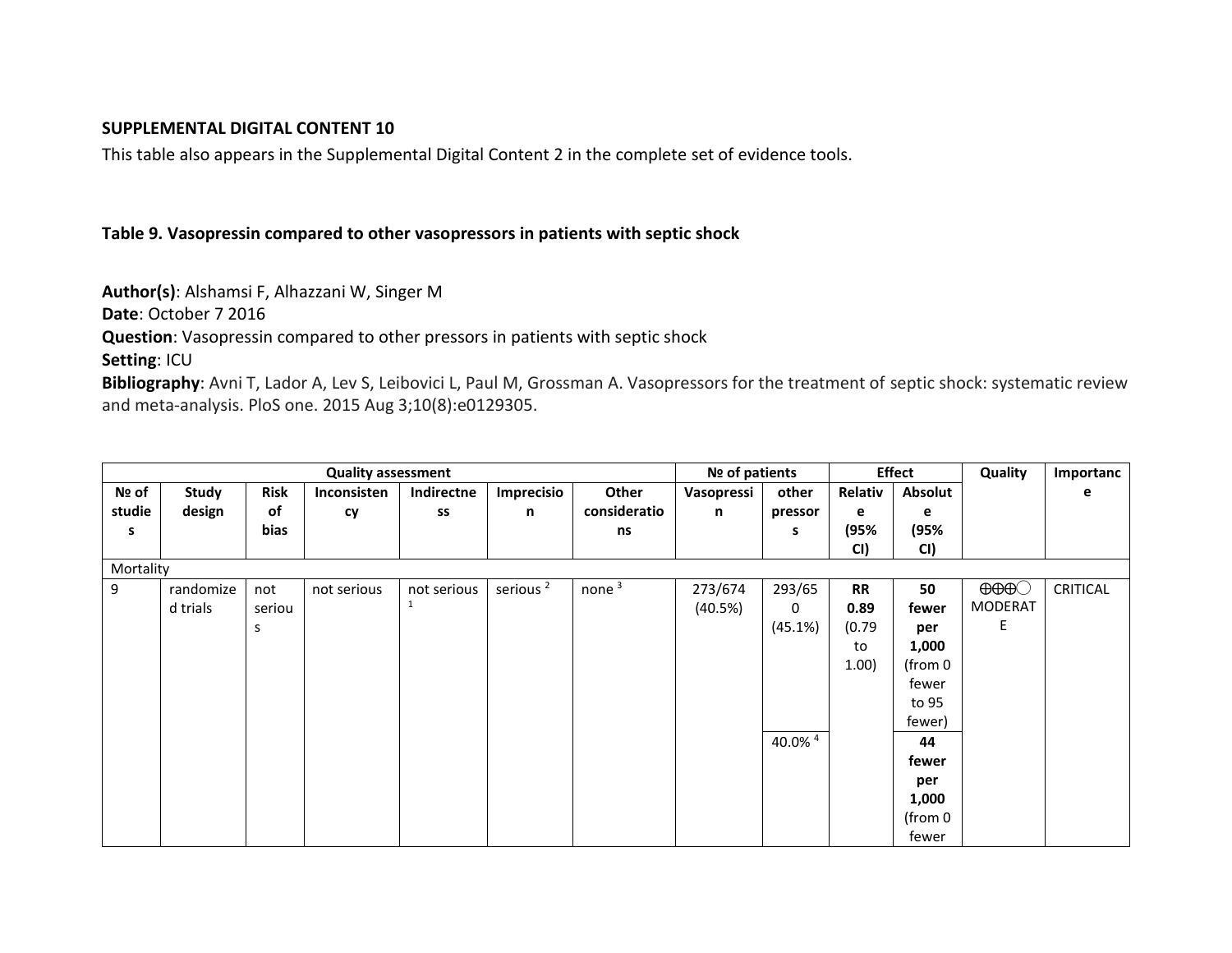### **SUPPLEMENTAL DIGITAL CONTENT 10**

This table also appears in the Supplemental Digital Content 2 in the complete set of evidence tools.

### **Table 9. Vasopressin compared to other vasopressors in patients with septic shock**

**Author(s)**: Alshamsi F, Alhazzani W, Singer M

**Date**: October 7 2016

**Question**: Vasopressin compared to other pressors in patients with septic shock

**Setting**: ICU

**Bibliography**: Avni T, Lador A, Lev S, Leibovici L, Paul M, Grossman A. Vasopressors for the treatment of septic shock: systematic review and meta-analysis. PloS one. 2015 Aug 3;10(8):e0129305.

| <b>Quality assessment</b> |              |             |             |             |                      |              |            | Nº of patients |           | <b>Effect</b> |                            | Importanc       |
|---------------------------|--------------|-------------|-------------|-------------|----------------------|--------------|------------|----------------|-----------|---------------|----------------------------|-----------------|
| Nº of                     | <b>Study</b> | <b>Risk</b> | Inconsisten | Indirectne  | Imprecisio           | Other        | Vasopressi | other          | Relativ   | Absolut       |                            | е               |
| studie                    | design       | of          | cy          | SS          | n                    | consideratio | n          | pressor        | e         | e             |                            |                 |
| s                         |              | bias        |             |             |                      | ns           |            | s              | (95%      | (95%          |                            |                 |
|                           |              |             |             |             |                      |              |            |                | CI)       | CI)           |                            |                 |
| Mortality                 |              |             |             |             |                      |              |            |                |           |               |                            |                 |
| 9                         | randomize    | not         | not serious | not serious | serious <sup>2</sup> | none $3$     | 273/674    | 293/65         | <b>RR</b> | 50            | $\Theta$ $\Theta$ $\Theta$ | <b>CRITICAL</b> |
|                           | d trials     | seriou      |             | 1           |                      |              | (40.5%)    | 0              | 0.89      | fewer         | <b>MODERAT</b>             |                 |
|                           |              | S           |             |             |                      |              |            | (45.1%)        | (0.79)    | per           | E                          |                 |
|                           |              |             |             |             |                      |              |            |                | to        | 1,000         |                            |                 |
|                           |              |             |             |             |                      |              |            |                | 1.00)     | (from 0       |                            |                 |
|                           |              |             |             |             |                      |              |            |                |           | fewer         |                            |                 |
|                           |              |             |             |             |                      |              |            |                |           | to 95         |                            |                 |
|                           |              |             |             |             |                      |              |            |                |           | fewer)        |                            |                 |
|                           |              |             |             |             |                      |              |            | 40.0% 4        |           | 44            |                            |                 |
|                           |              |             |             |             |                      |              |            |                |           | fewer         |                            |                 |
|                           |              |             |             |             |                      |              |            |                |           | per           |                            |                 |
|                           |              |             |             |             |                      |              |            |                |           | 1,000         |                            |                 |
|                           |              |             |             |             |                      |              |            |                |           | (from 0       |                            |                 |
|                           |              |             |             |             |                      |              |            |                |           | fewer         |                            |                 |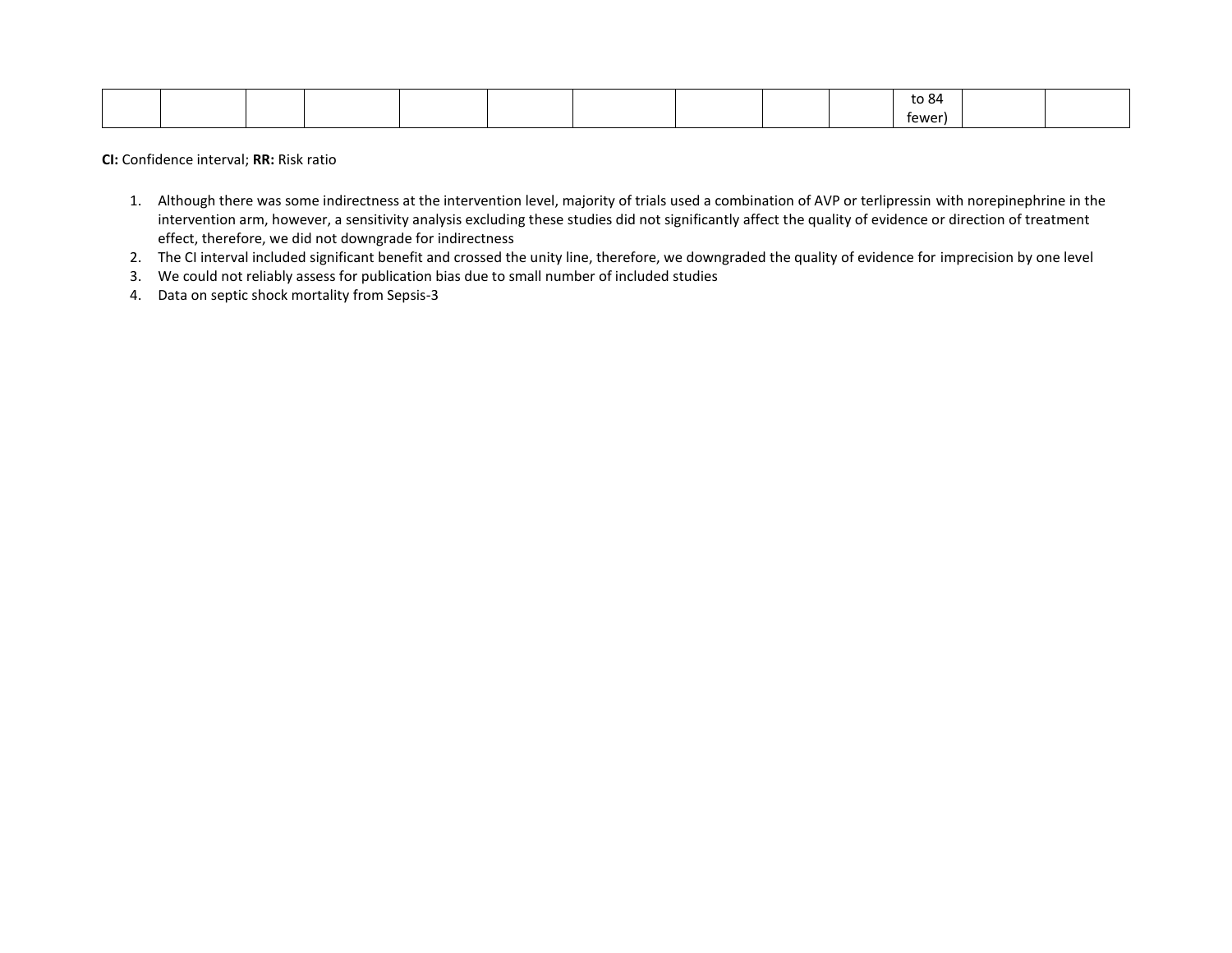|  |  |  |  |  | $\sim$ $\sim$<br>~~<br>ະບ ບ⊤ |  |
|--|--|--|--|--|------------------------------|--|
|  |  |  |  |  | tewer                        |  |

**CI:** Confidence interval; **RR:** Risk ratio

- 1. Although there was some indirectness at the intervention level, majority of trials used a combination of AVP or terlipressin with norepinephrine in the intervention arm, however, a sensitivity analysis excluding these studies did not significantly affect the quality of evidence or direction of treatment effect, therefore, we did not downgrade for indirectness
- 2. The CI interval included significant benefit and crossed the unity line, therefore, we downgraded the quality of evidence for imprecision by one level
- 3. We could not reliably assess for publication bias due to small number of included studies
- 4. Data on septic shock mortality from Sepsis-3